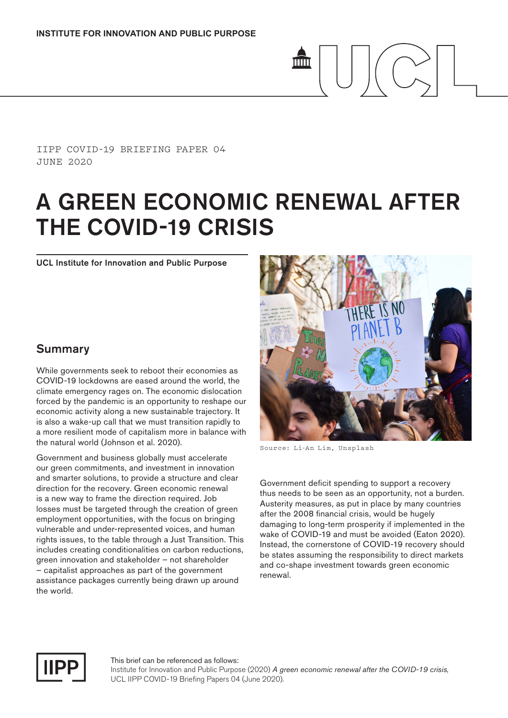#### IIPP COVID-19 BRIEFING PAPER 04 JUNE 2020

# A GREEN ECONOMIC RENEWAL AFTER THE COVID-19 CRISIS

mm

UCL Institute for Innovation and Public Purpose

## Summary

While governments seek to reboot their economies as COVID-19 lockdowns are eased around the world, the climate emergency rages on. The economic dislocation forced by the pandemic is an opportunity to reshape our economic activity along a new sustainable trajectory. It is also a wake-up call that we must transition rapidly to a more resilient mode of capitalism more in balance with the natural world (Johnson et al. 2020).

Government and business globally must accelerate our green commitments, and investment in innovation and smarter solutions, to provide a structure and clear direction for the recovery. Green economic renewal is a new way to frame the direction required. Job losses must be targeted through the creation of green employment opportunities, with the focus on bringing vulnerable and under-represented voices, and human rights issues, to the table through a Just Transition. This includes creating conditionalities on carbon reductions, green innovation and stakeholder – not shareholder – capitalist approaches as part of the government assistance packages currently being drawn up around the world.



Source: Li-An Lim, Unsplash

Government deficit spending to support a recovery thus needs to be seen as an opportunity, not a burden. Austerity measures, as put in place by many countries after the 2008 financial crisis, would be hugely damaging to long-term prosperity if implemented in the wake of COVID-19 and must be avoided (Eaton 2020). Instead, the cornerstone of COVID-19 recovery should be states assuming the responsibility to direct markets and co-shape investment towards green economic renewal.



This brief can be referenced as follows: Institute for Innovation and Public Purpose (2020) *A green economic renewal after the COVID-19 crisis*, UCL IIPP COVID-19 Briefing Papers 04 (June 2020).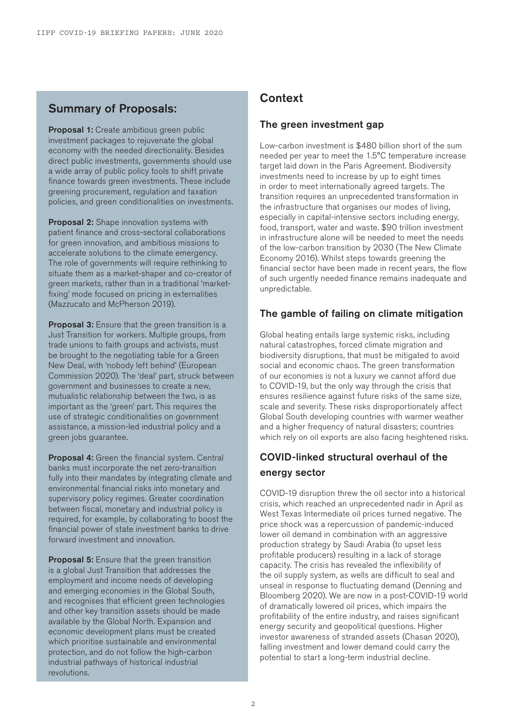# Summary of Proposals:

**Proposal 1:** Create ambitious green public investment packages to rejuvenate the global economy with the needed directionality. Besides direct public investments, governments should use a wide array of public policy tools to shift private finance towards green investments. These include greening procurement, regulation and taxation policies, and green conditionalities on investments.

**Proposal 2:** Shape innovation systems with patient finance and cross-sectoral collaborations for green innovation, and ambitious missions to accelerate solutions to the climate emergency. The role of governments will require rethinking to situate them as a market-shaper and co-creator of green markets, rather than in a traditional 'marketfixing' mode focused on pricing in externalities (Mazzucato and McPherson 2019).

**Proposal 3:** Ensure that the green transition is a Just Transition for workers. Multiple groups, from trade unions to faith groups and activists, must be brought to the negotiating table for a Green New Deal, with 'nobody left behind' (European Commission 2020). The 'deal' part, struck between government and businesses to create a new, mutualistic relationship between the two, is as important as the 'green' part. This requires the use of strategic conditionalities on government assistance, a mission-led industrial policy and a green jobs guarantee.

Proposal 4: Green the financial system. Central banks must incorporate the net zero-transition fully into their mandates by integrating climate and environmental financial risks into monetary and supervisory policy regimes. Greater coordination between fiscal, monetary and industrial policy is required, for example, by collaborating to boost the financial power of state investment banks to drive forward investment and innovation.

**Proposal 5:** Ensure that the green transition is a global Just Transition that addresses the employment and income needs of developing and emerging economies in the Global South, and recognises that efficient green technologies and other key transition assets should be made available by the Global North. Expansion and economic development plans must be created which prioritise sustainable and environmental protection, and do not follow the high-carbon industrial pathways of historical industrial revolutions.

# **Context**

### The green investment gap

Low-carbon investment is \$480 billion short of the sum needed per year to meet the 1.5°C temperature increase target laid down in the Paris Agreement. Biodiversity investments need to increase by up to eight times in order to meet internationally agreed targets. The transition requires an unprecedented transformation in the infrastructure that organises our modes of living, especially in capital-intensive sectors including energy, food, transport, water and waste. \$90 trillion investment in infrastructure alone will be needed to meet the needs of the low-carbon transition by 2030 (The New Climate Economy 2016). Whilst steps towards greening the financial sector have been made in recent years, the flow of such urgently needed finance remains inadequate and unpredictable.

#### The gamble of failing on climate mitigation

Global heating entails large systemic risks, including natural catastrophes, forced climate migration and biodiversity disruptions, that must be mitigated to avoid social and economic chaos. The green transformation of our economies is not a luxury we cannot afford due to COVID-19, but the only way through the crisis that ensures resilience against future risks of the same size, scale and severity. These risks disproportionately affect Global South developing countries with warmer weather and a higher frequency of natural disasters; countries which rely on oil exports are also facing heightened risks.

# COVID-linked structural overhaul of the energy sector

COVID-19 disruption threw the oil sector into a historical crisis, which reached an unprecedented nadir in April as West Texas Intermediate oil prices turned negative. The price shock was a repercussion of pandemic-induced lower oil demand in combination with an aggressive production strategy by Saudi Arabia (to upset less profitable producers) resulting in a lack of storage capacity. The crisis has revealed the inflexibility of the oil supply system, as wells are difficult to seal and unseal in response to fluctuating demand (Denning and Bloomberg 2020). We are now in a post-COVID-19 world of dramatically lowered oil prices, which impairs the profitability of the entire industry, and raises significant energy security and geopolitical questions. Higher investor awareness of stranded assets (Chasan 2020), falling investment and lower demand could carry the potential to start a long-term industrial decline.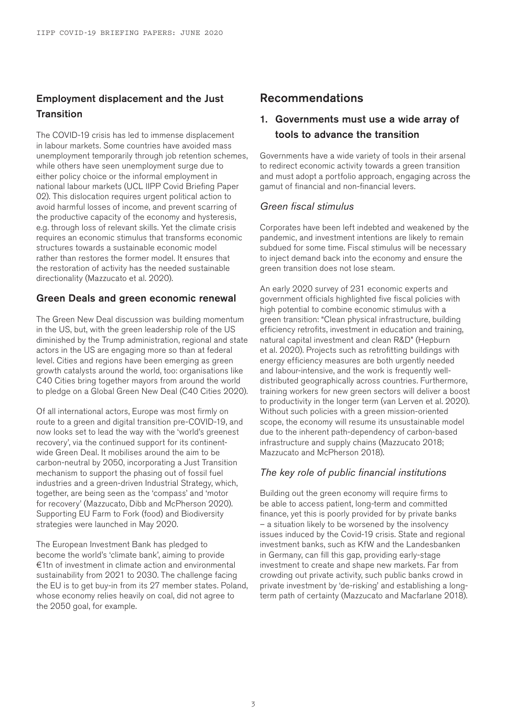## Employment displacement and the Just **Transition**

The COVID-19 crisis has led to immense displacement in labour markets. Some countries have avoided mass unemployment temporarily through job retention schemes, while others have seen unemployment surge due to either policy choice or the informal employment in national labour markets (UCL IIPP Covid Briefing Paper 02). This dislocation requires urgent political action to avoid harmful losses of income, and prevent scarring of the productive capacity of the economy and hysteresis, e.g. through loss of relevant skills. Yet the climate crisis requires an economic stimulus that transforms economic structures towards a sustainable economic model rather than restores the former model. It ensures that the restoration of activity has the needed sustainable directionality (Mazzucato et al. 2020).

#### Green Deals and green economic renewal

The Green New Deal discussion was building momentum in the US, but, with the green leadership role of the US diminished by the Trump administration, regional and state actors in the US are engaging more so than at federal level. Cities and regions have been emerging as green growth catalysts around the world, too: organisations like C40 Cities bring together mayors from around the world to pledge on a Global Green New Deal (C40 Cities 2020).

Of all international actors, Europe was most firmly on route to a green and digital transition pre-COVID-19, and now looks set to lead the way with the 'world's greenest recovery', via the continued support for its continentwide Green Deal. It mobilises around the aim to be carbon-neutral by 2050, incorporating a Just Transition mechanism to support the phasing out of fossil fuel industries and a green-driven Industrial Strategy, which, together, are being seen as the 'compass' and 'motor for recovery' (Mazzucato, Dibb and McPherson 2020). Supporting EU Farm to Fork (food) and Biodiversity strategies were launched in May 2020.

The European Investment Bank has pledged to become the world's 'climate bank', aiming to provide €1tn of investment in climate action and environmental sustainability from 2021 to 2030. The challenge facing the EU is to get buy-in from its 27 member states. Poland, whose economy relies heavily on coal, did not agree to the 2050 goal, for example.

## Recommendations

## 1. Governments must use a wide array of tools to advance the transition

Governments have a wide variety of tools in their arsenal to redirect economic activity towards a green transition and must adopt a portfolio approach, engaging across the gamut of financial and non-financial levers.

#### *Green fiscal stimulus*

Corporates have been left indebted and weakened by the pandemic, and investment intentions are likely to remain subdued for some time. Fiscal stimulus will be necessary to inject demand back into the economy and ensure the green transition does not lose steam.

An early 2020 survey of 231 economic experts and government officials highlighted five fiscal policies with high potential to combine economic stimulus with a green transition: "Clean physical infrastructure, building efficiency retrofits, investment in education and training, natural capital investment and clean R&D" (Hepburn et al. 2020). Projects such as retrofitting buildings with energy efficiency measures are both urgently needed and labour-intensive, and the work is frequently welldistributed geographically across countries. Furthermore, training workers for new green sectors will deliver a boost to productivity in the longer term (van Lerven et al. 2020). Without such policies with a green mission-oriented scope, the economy will resume its unsustainable model due to the inherent path-dependency of carbon-based infrastructure and supply chains (Mazzucato 2018; Mazzucato and McPherson 2018).

#### *The key role of public financial institutions*

Building out the green economy will require firms to be able to access patient, long-term and committed finance, yet this is poorly provided for by private banks – a situation likely to be worsened by the insolvency issues induced by the Covid-19 crisis. State and regional investment banks, such as KfW and the Landesbanken in Germany, can fill this gap, providing early-stage investment to create and shape new markets. Far from crowding out private activity, such public banks crowd in private investment by 'de-risking' and establishing a longterm path of certainty (Mazzucato and Macfarlane 2018).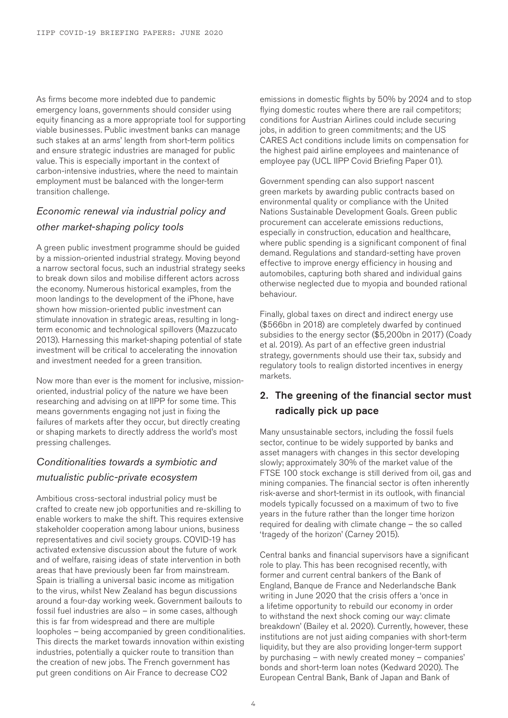As firms become more indebted due to pandemic emergency loans, governments should consider using equity financing as a more appropriate tool for supporting viable businesses. Public investment banks can manage such stakes at an arms' length from short-term politics and ensure strategic industries are managed for public value. This is especially important in the context of carbon-intensive industries, where the need to maintain employment must be balanced with the longer-term transition challenge.

# *Economic renewal via industrial policy and other market-shaping policy tools*

A green public investment programme should be guided by a mission-oriented industrial strategy. Moving beyond a narrow sectoral focus, such an industrial strategy seeks to break down silos and mobilise different actors across the economy. Numerous historical examples, from the moon landings to the development of the iPhone, have shown how mission-oriented public investment can stimulate innovation in strategic areas, resulting in longterm economic and technological spillovers (Mazzucato 2013). Harnessing this market-shaping potential of state investment will be critical to accelerating the innovation and investment needed for a green transition.

Now more than ever is the moment for inclusive, missionoriented, industrial policy of the nature we have been researching and advising on at IIPP for some time. This means governments engaging not just in fixing the failures of markets after they occur, but directly creating or shaping markets to directly address the world's most pressing challenges.

## *Conditionalities towards a symbiotic and mutualistic public-private ecosystem*

Ambitious cross-sectoral industrial policy must be crafted to create new job opportunities and re-skilling to enable workers to make the shift. This requires extensive stakeholder cooperation among labour unions, business representatives and civil society groups. COVID-19 has activated extensive discussion about the future of work and of welfare, raising ideas of state intervention in both areas that have previously been far from mainstream. Spain is trialling a universal basic income as mitigation to the virus, whilst New Zealand has begun discussions around a four-day working week. Government bailouts to fossil fuel industries are also – in some cases, although this is far from widespread and there are multiple loopholes – being accompanied by green conditionalities. This directs the market towards innovation within existing industries, potentially a quicker route to transition than the creation of new jobs. The French government has put green conditions on Air France to decrease CO2

emissions in domestic flights by 50% by 2024 and to stop flying domestic routes where there are rail competitors; conditions for Austrian Airlines could include securing jobs, in addition to green commitments; and the US CARES Act conditions include limits on compensation for the highest paid airline employees and maintenance of employee pay (UCL IIPP Covid Briefing Paper 01).

Government spending can also support nascent green markets by awarding public contracts based on environmental quality or compliance with the United Nations Sustainable Development Goals. Green public procurement can accelerate emissions reductions, especially in construction, education and healthcare, where public spending is a significant component of final demand. Regulations and standard-setting have proven effective to improve energy efficiency in housing and automobiles, capturing both shared and individual gains otherwise neglected due to myopia and bounded rational behaviour.

Finally, global taxes on direct and indirect energy use (\$566bn in 2018) are completely dwarfed by continued subsidies to the energy sector (\$5,200bn in 2017) (Coady et al. 2019). As part of an effective green industrial strategy, governments should use their tax, subsidy and regulatory tools to realign distorted incentives in energy markets.

## 2. The greening of the financial sector must radically pick up pace

Many unsustainable sectors, including the fossil fuels sector, continue to be widely supported by banks and asset managers with changes in this sector developing slowly; approximately 30% of the market value of the FTSE 100 stock exchange is still derived from oil, gas and mining companies. The financial sector is often inherently risk-averse and short-termist in its outlook, with financial models typically focussed on a maximum of two to five years in the future rather than the longer time horizon required for dealing with climate change – the so called 'tragedy of the horizon' (Carney 2015).

Central banks and financial supervisors have a significant role to play. This has been recognised recently, with former and current central bankers of the Bank of England, Banque de France and Nederlandsche Bank writing in June 2020 that the crisis offers a 'once in a lifetime opportunity to rebuild our economy in order to withstand the next shock coming our way: climate breakdown' (Bailey et al. 2020). Currently, however, these institutions are not just aiding companies with short-term liquidity, but they are also providing longer-term support by purchasing – with newly created money – companies' bonds and short-term loan notes (Kedward 2020). The European Central Bank, Bank of Japan and Bank of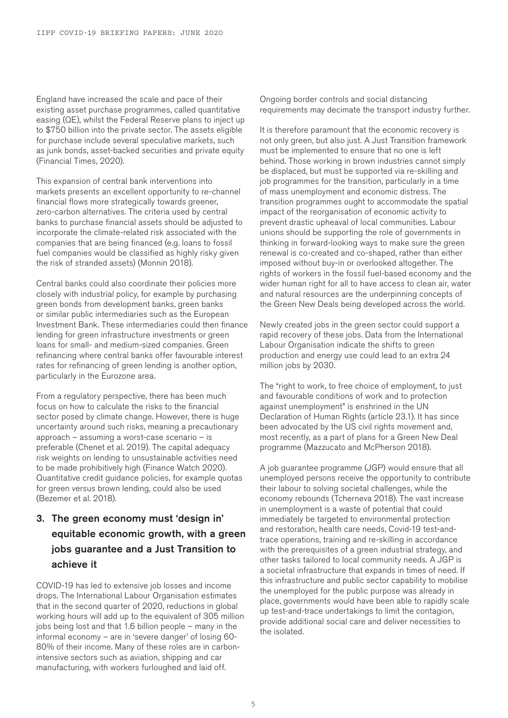England have increased the scale and pace of their existing asset purchase programmes, called quantitative easing (QE), whilst the Federal Reserve plans to inject up to \$750 billion into the private sector. The assets eligible for purchase include several speculative markets, such as junk bonds, asset-backed securities and private equity (Financial Times, 2020).

This expansion of central bank interventions into markets presents an excellent opportunity to re-channel financial flows more strategically towards greener, zero-carbon alternatives. The criteria used by central banks to purchase financial assets should be adjusted to incorporate the climate-related risk associated with the companies that are being financed (e.g. loans to fossil fuel companies would be classified as highly risky given the risk of stranded assets) (Monnin 2018).

Central banks could also coordinate their policies more closely with industrial policy, for example by purchasing green bonds from development banks, green banks or similar public intermediaries such as the European Investment Bank. These intermediaries could then finance lending for green infrastructure investments or green loans for small- and medium-sized companies. Green refinancing where central banks offer favourable interest rates for refinancing of green lending is another option, particularly in the Eurozone area.

From a regulatory perspective, there has been much focus on how to calculate the risks to the financial sector posed by climate change. However, there is huge uncertainty around such risks, meaning a precautionary approach – assuming a worst-case scenario – is preferable (Chenet et al. 2019). The capital adequacy risk weights on lending to unsustainable activities need to be made prohibitively high (Finance Watch 2020). Quantitative credit guidance policies, for example quotas for green versus brown lending, could also be used (Bezemer et al. 2018).

# 3. The green economy must 'design in' equitable economic growth, with a green jobs guarantee and a Just Transition to achieve it

COVID-19 has led to extensive job losses and income drops. The International Labour Organisation estimates that in the second quarter of 2020, reductions in global working hours will add up to the equivalent of 305 million jobs being lost and that 1.6 billion people – many in the informal economy – are in 'severe danger' of losing 60- 80% of their income. Many of these roles are in carbonintensive sectors such as aviation, shipping and car manufacturing, with workers furloughed and laid off.

Ongoing border controls and social distancing requirements may decimate the transport industry further.

It is therefore paramount that the economic recovery is not only green, but also just. A Just Transition framework must be implemented to ensure that no one is left behind. Those working in brown industries cannot simply be displaced, but must be supported via re-skilling and job programmes for the transition, particularly in a time of mass unemployment and economic distress. The transition programmes ought to accommodate the spatial impact of the reorganisation of economic activity to prevent drastic upheaval of local communities. Labour unions should be supporting the role of governments in thinking in forward-looking ways to make sure the green renewal is co-created and co-shaped, rather than either imposed without buy-in or overlooked altogether. The rights of workers in the fossil fuel-based economy and the wider human right for all to have access to clean air, water and natural resources are the underpinning concepts of the Green New Deals being developed across the world.

Newly created jobs in the green sector could support a rapid recovery of these jobs. Data from the International Labour Organisation indicate the shifts to green production and energy use could lead to an extra 24 million jobs by 2030.

The "right to work, to free choice of employment, to just and favourable conditions of work and to protection against unemployment" is enshrined in the UN Declaration of Human Rights (article 23.1). It has since been advocated by the US civil rights movement and, most recently, as a part of plans for a Green New Deal programme (Mazzucato and McPherson 2018).

A job guarantee programme (JGP) would ensure that all unemployed persons receive the opportunity to contribute their labour to solving societal challenges, while the economy rebounds (Tcherneva 2018). The vast increase in unemployment is a waste of potential that could immediately be targeted to environmental protection and restoration, health care needs, Covid-19 test-andtrace operations, training and re-skilling in accordance with the prerequisites of a green industrial strategy, and other tasks tailored to local community needs. A JGP is a societal infrastructure that expands in times of need. If this infrastructure and public sector capability to mobilise the unemployed for the public purpose was already in place, governments would have been able to rapidly scale up test-and-trace undertakings to limit the contagion, provide additional social care and deliver necessities to the isolated.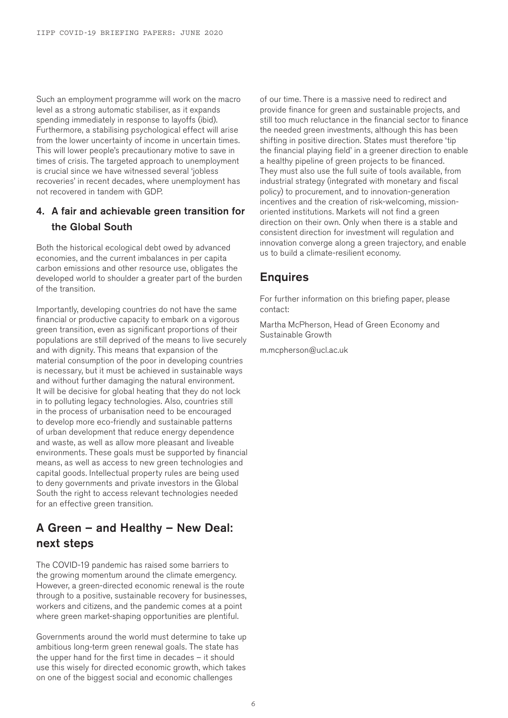Such an employment programme will work on the macro level as a strong automatic stabiliser, as it expands spending immediately in response to layoffs (ibid). Furthermore, a stabilising psychological effect will arise from the lower uncertainty of income in uncertain times. This will lower people's precautionary motive to save in times of crisis. The targeted approach to unemployment is crucial since we have witnessed several 'jobless recoveries' in recent decades, where unemployment has not recovered in tandem with GDP.

## 4. A fair and achievable green transition for the Global South

Both the historical ecological debt owed by advanced economies, and the current imbalances in per capita carbon emissions and other resource use, obligates the developed world to shoulder a greater part of the burden of the transition.

Importantly, developing countries do not have the same financial or productive capacity to embark on a vigorous green transition, even as significant proportions of their populations are still deprived of the means to live securely and with dignity. This means that expansion of the material consumption of the poor in developing countries is necessary, but it must be achieved in sustainable ways and without further damaging the natural environment. It will be decisive for global heating that they do not lock in to polluting legacy technologies. Also, countries still in the process of urbanisation need to be encouraged to develop more eco-friendly and sustainable patterns of urban development that reduce energy dependence and waste, as well as allow more pleasant and liveable environments. These goals must be supported by financial means, as well as access to new green technologies and capital goods. Intellectual property rules are being used to deny governments and private investors in the Global South the right to access relevant technologies needed for an effective green transition.

# A Green – and Healthy – New Deal: next steps

The COVID-19 pandemic has raised some barriers to the growing momentum around the climate emergency. However, a green-directed economic renewal is the route through to a positive, sustainable recovery for businesses, workers and citizens, and the pandemic comes at a point where green market-shaping opportunities are plentiful.

Governments around the world must determine to take up ambitious long-term green renewal goals. The state has the upper hand for the first time in decades – it should use this wisely for directed economic growth, which takes on one of the biggest social and economic challenges

of our time. There is a massive need to redirect and provide finance for green and sustainable projects, and still too much reluctance in the financial sector to finance the needed green investments, although this has been shifting in positive direction. States must therefore 'tip the financial playing field' in a greener direction to enable a healthy pipeline of green projects to be financed. They must also use the full suite of tools available, from industrial strategy (integrated with monetary and fiscal policy) to procurement, and to innovation-generation incentives and the creation of risk-welcoming, missionoriented institutions. Markets will not find a green direction on their own. Only when there is a stable and consistent direction for investment will regulation and innovation converge along a green trajectory, and enable us to build a climate-resilient economy.

## Enquires

For further information on this briefing paper, please contact:

Martha McPherson, Head of Green Economy and Sustainable Growth

m.mcpherson@ucl.ac.uk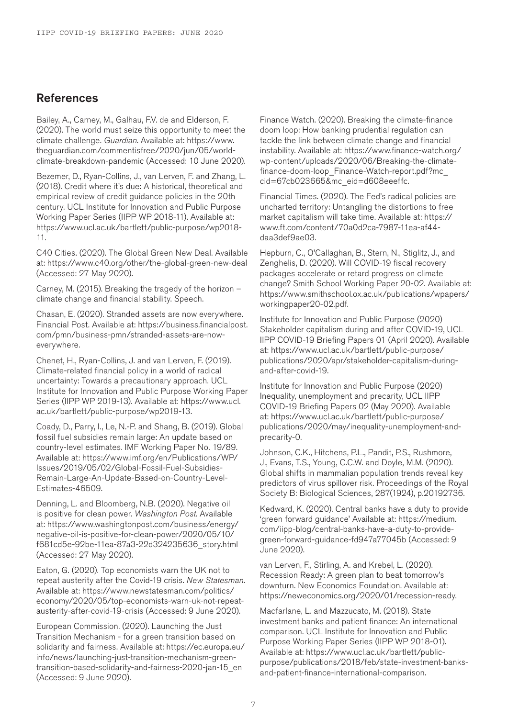## References

Bailey, A., Carney, M., Galhau, F.V. de and Elderson, F. (2020). The world must seize this opportunity to meet the climate challenge. *Guardian*. Available at: https://www. theguardian.com/commentisfree/2020/jun/05/worldclimate-breakdown-pandemic (Accessed: 10 June 2020).

Bezemer, D., Ryan-Collins, J., van Lerven, F. and Zhang, L. (2018). Credit where it's due: A historical, theoretical and empirical review of credit guidance policies in the 20th century. UCL Institute for Innovation and Public Purpose Working Paper Series (IIPP WP 2018-11). Available at: https://www.ucl.ac.uk/bartlett/public-purpose/wp2018- 11.

C40 Cities. (2020). The Global Green New Deal. Available at: https://www.c40.org/other/the-global-green-new-deal (Accessed: 27 May 2020).

Carney, M. (2015). Breaking the tragedy of the horizon – climate change and financial stability. Speech.

Chasan, E. (2020). Stranded assets are now everywhere. Financial Post. Available at: https://business.financialpost. com/pmn/business-pmn/stranded-assets-are-noweverywhere.

Chenet, H., Ryan-Collins, J. and van Lerven, F. (2019). Climate-related financial policy in a world of radical uncertainty: Towards a precautionary approach. UCL Institute for Innovation and Public Purpose Working Paper Series (IIPP WP 2019-13). Available at: https://www.ucl. ac.uk/bartlett/public-purpose/wp2019-13.

Coady, D., Parry, I., Le, N.-P. and Shang, B. (2019). Global fossil fuel subsidies remain large: An update based on country-level estimates. IMF Working Paper No. 19/89. Available at: https://www.imf.org/en/Publications/WP/ Issues/2019/05/02/Global-Fossil-Fuel-Subsidies-Remain-Large-An-Update-Based-on-Country-Level-Estimates-46509.

Denning, L. and Bloomberg, N.B. (2020). Negative oil is positive for clean power. *Washington Post*. Available at: https://www.washingtonpost.com/business/energy/ negative-oil-is-positive-for-clean-power/2020/05/10/ f681cd5e-92be-11ea-87a3-22d324235636\_story.html (Accessed: 27 May 2020).

Eaton, G. (2020). Top economists warn the UK not to repeat austerity after the Covid-19 crisis. *New Statesman*. Available at: https://www.newstatesman.com/politics/ economy/2020/05/top-economists-warn-uk-not-repeatausterity-after-covid-19-crisis (Accessed: 9 June 2020).

European Commission. (2020). Launching the Just Transition Mechanism - for a green transition based on solidarity and fairness. Available at: https://ec.europa.eu/ info/news/launching-just-transition-mechanism-greentransition-based-solidarity-and-fairness-2020-jan-15\_en (Accessed: 9 June 2020).

Finance Watch. (2020). Breaking the climate-finance doom loop: How banking prudential regulation can tackle the link between climate change and financial instability. Available at: https://www.finance-watch.org/ wp-content/uploads/2020/06/Breaking-the-climatefinance-doom-loop\_Finance-Watch-report.pdf?mc\_ cid=67cb023665&mc\_eid=d608eeeffc.

Financial Times. (2020). The Fed's radical policies are uncharted territory: Untangling the distortions to free market capitalism will take time. Available at: https:// www.ft.com/content/70a0d2ca-7987-11ea-af44 daa3def9ae03.

Hepburn, C., O'Callaghan, B., Stern, N., Stiglitz, J., and Zenghelis, D. (2020). Will COVID-19 fiscal recovery packages accelerate or retard progress on climate change? Smith School Working Paper 20-02. Available at: https://www.smithschool.ox.ac.uk/publications/wpapers/ workingpaper20-02.pdf.

Institute for Innovation and Public Purpose (2020) Stakeholder capitalism during and after COVID-19, UCL IIPP COVID-19 Briefing Papers 01 (April 2020). Available at: https://www.ucl.ac.uk/bartlett/public-purpose/ publications/2020/apr/stakeholder-capitalism-duringand-after-covid-19.

Institute for Innovation and Public Purpose (2020) Inequality, unemployment and precarity, UCL IIPP COVID-19 Briefing Papers 02 (May 2020). Available at: https://www.ucl.ac.uk/bartlett/public-purpose/ publications/2020/may/inequality-unemployment-andprecarity-0.

Johnson, C.K., Hitchens, P.L., Pandit, P.S., Rushmore, J., Evans, T.S., Young, C.C.W. and Doyle, M.M. (2020). Global shifts in mammalian population trends reveal key predictors of virus spillover risk. Proceedings of the Royal Society B: Biological Sciences, 287(1924), p.20192736.

Kedward, K. (2020). Central banks have a duty to provide 'green forward guidance' Available at: https://medium. com/iipp-blog/central-banks-have-a-duty-to-providegreen-forward-guidance-fd947a77045b (Accessed: 9 June 2020).

van Lerven, F., Stirling, A. and Krebel, L. (2020). Recession Ready: A green plan to beat tomorrow's downturn. New Economics Foundation. Available at: https://neweconomics.org/2020/01/recession-ready.

Macfarlane, L. and Mazzucato, M. (2018). State investment banks and patient finance: An international comparison. UCL Institute for Innovation and Public Purpose Working Paper Series (IIPP WP 2018-01). Available at: https://www.ucl.ac.uk/bartlett/publicpurpose/publications/2018/feb/state-investment-banksand-patient-finance-international-comparison.